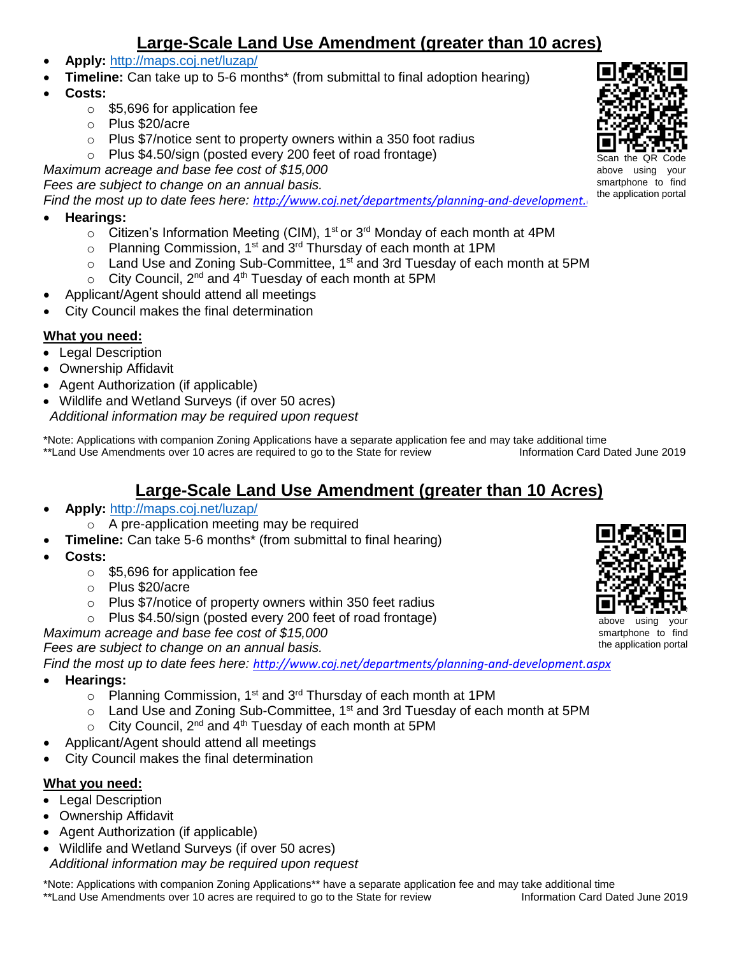# **Large-Scale Land Use Amendment (greater than 10 acres)**

- **Apply:** <http://maps.coj.net/luzap/>
- **Timeline:** Can take up to 5-6 months<sup>\*</sup> (from submittal to final adoption hearing)
- **Costs:** 
	- o \$5,696 for application fee
	- o Plus \$20/acre
	- $\circ$  Plus \$7/notice sent to property owners within a 350 foot radius
	- o Plus \$4.50/sign (posted every 200 feet of road frontage)

*Maximum acreage and base fee cost of \$15,000*

*Fees are subject to change on an annual basis.* 

*Find the most up to date fees here: http://www.coj.net/departments/planning-and-development.* 

- **Hearings:** 
	- $\circ$  Citizen's Information Meeting (CIM), 1<sup>st</sup> or 3<sup>rd</sup> Monday of each month at 4PM
	- $\circ$  Planning Commission, 1<sup>st</sup> and 3<sup>rd</sup> Thursday of each month at 1PM
	- $\circ$  Land Use and Zoning Sub-Committee, 1<sup>st</sup> and 3rd Tuesday of each month at 5PM
	- $\circ$  City Council, 2<sup>nd</sup> and 4<sup>th</sup> Tuesday of each month at 5PM
	- Applicant/Agent should attend all meetings
- City Council makes the final determination

#### **What you need:**

- Legal Description
- Ownership Affidavit
- Agent Authorization (if applicable)
- Wildlife and Wetland Surveys (if over 50 acres)
- *Additional information may be required upon request*

\*Note: Applications with companion Zoning Applications have a separate application fee and may take additional time \*\*Land Use Amendments over 10 acres are required to go to the State for review Information Card Dated June 2019

# **Large-Scale Land Use Amendment (greater than 10 Acres)**

- **Apply:** <http://maps.coj.net/luzap/>
	- o A pre-application meeting may be required
	- **Timeline:** Can take 5-6 months\* (from submittal to final hearing)
- **Costs:** 
	- o \$5,696 for application fee
	- o Plus \$20/acre
		- o Plus \$7/notice of property owners within 350 feet radius
		- o Plus \$4.50/sign (posted every 200 feet of road frontage)
- *Maximum acreage and base fee cost of \$15,000*

*Fees are subject to change on an annual basis.* 

*Find the most up to date fees here: <http://www.coj.net/departments/planning-and-development.aspx>*

- **Hearings:** 
	- o Planning Commission, 1<sup>st</sup> and 3<sup>rd</sup> Thursday of each month at 1PM
	- $\circ$  Land Use and Zoning Sub-Committee, 1<sup>st</sup> and 3rd Tuesday of each month at 5PM
	- $\circ$  City Council, 2<sup>nd</sup> and 4<sup>th</sup> Tuesday of each month at 5PM
- Applicant/Agent should attend all meetings
- City Council makes the final determination

#### **What you need:**

- Legal Description
- Ownership Affidavit
- Agent Authorization (if applicable)
- Wildlife and Wetland Surveys (if over 50 acres) *Additional information may be required upon request*

\*Note: Applications with companion Zoning Applications\*\* have a separate application fee and may take additional time \*\*Land Use Amendments over 10 acres are required to go to the State for review Information Card Dated June 2019



above using your smartphone to find the application portal



the application portal